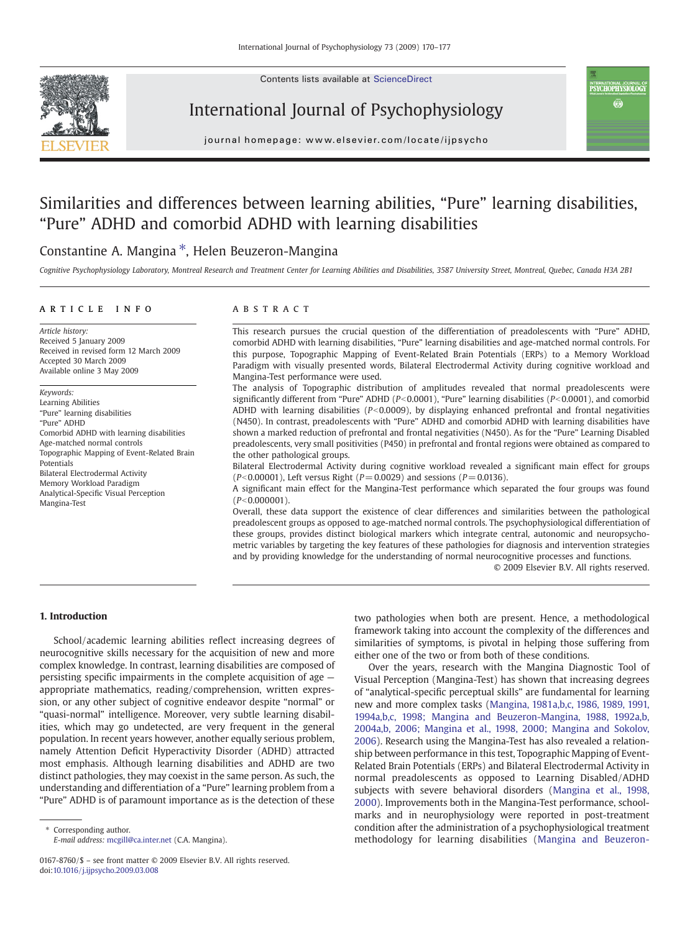Contents lists available at ScienceDirect







journal homepage: www.elsevier.com/locate/ijpsycho

## Similarities and differences between learning abilities, "Pure" learning disabilities, "Pure" ADHD and comorbid ADHD with learning disabilities

### Constantine A. Mangina ⁎, Helen Beuzeron-Mangina

Cognitive Psychophysiology Laboratory, Montreal Research and Treatment Center for Learning Abilities and Disabilities, 3587 University Street, Montreal, Quebec, Canada H3A 2B1

### article info abstract

Article history: Received 5 January 2009 Received in revised form 12 March 2009 Accepted 30 March 2009 Available online 3 May 2009

Keywords: Learning Abilities "Pure" learning disabilities "Pure" ADHD Comorbid ADHD with learning disabilities Age-matched normal controls Topographic Mapping of Event-Related Brain Potentials Bilateral Electrodermal Activity Memory Workload Paradigm Analytical-Specific Visual Perception Mangina-Test

This research pursues the crucial question of the differentiation of preadolescents with "Pure" ADHD, comorbid ADHD with learning disabilities, "Pure" learning disabilities and age-matched normal controls. For this purpose, Topographic Mapping of Event-Related Brain Potentials (ERPs) to a Memory Workload Paradigm with visually presented words, Bilateral Electrodermal Activity during cognitive workload and Mangina-Test performance were used.

The analysis of Topographic distribution of amplitudes revealed that normal preadolescents were significantly different from "Pure" ADHD ( $P<0.0001$ ), "Pure" learning disabilities ( $P<0.0001$ ), and comorbid ADHD with learning disabilities ( $P<0.0009$ ), by displaying enhanced prefrontal and frontal negativities (N450). In contrast, preadolescents with "Pure" ADHD and comorbid ADHD with learning disabilities have shown a marked reduction of prefrontal and frontal negativities (N450). As for the "Pure" Learning Disabled preadolescents, very small positivities (P450) in prefrontal and frontal regions were obtained as compared to the other pathological groups.

Bilateral Electrodermal Activity during cognitive workload revealed a significant main effect for groups  $(P< 0.00001)$ , Left versus Right ( $P = 0.0029$ ) and sessions ( $P = 0.0136$ ).

A significant main effect for the Mangina-Test performance which separated the four groups was found  $(P<0.000001)$ .

Overall, these data support the existence of clear differences and similarities between the pathological preadolescent groups as opposed to age-matched normal controls. The psychophysiological differentiation of these groups, provides distinct biological markers which integrate central, autonomic and neuropsychometric variables by targeting the key features of these pathologies for diagnosis and intervention strategies and by providing knowledge for the understanding of normal neurocognitive processes and functions.

© 2009 Elsevier B.V. All rights reserved.

#### 1. Introduction

School/academic learning abilities reflect increasing degrees of neurocognitive skills necessary for the acquisition of new and more complex knowledge. In contrast, learning disabilities are composed of persisting specific impairments in the complete acquisition of age appropriate mathematics, reading/comprehension, written expression, or any other subject of cognitive endeavor despite "normal" or "quasi-normal" intelligence. Moreover, very subtle learning disabilities, which may go undetected, are very frequent in the general population. In recent years however, another equally serious problem, namely Attention Deficit Hyperactivity Disorder (ADHD) attracted most emphasis. Although learning disabilities and ADHD are two distinct pathologies, they may coexist in the same person. As such, the understanding and differentiation of a "Pure" learning problem from a "Pure" ADHD is of paramount importance as is the detection of these

two pathologies when both are present. Hence, a methodological framework taking into account the complexity of the differences and similarities of symptoms, is pivotal in helping those suffering from either one of the two or from both of these conditions.

Over the years, research with the Mangina Diagnostic Tool of Visual Perception (Mangina-Test) has shown that increasing degrees of "analytical-specific perceptual skills" are fundamental for learning new and more complex tasks ([Mangina, 1981a,b,c, 1986, 1989, 1991,](#page--1-0) [1994a,b,c, 1998; Mangina and Beuzeron-Mangina, 1988, 1992a,b,](#page--1-0) [2004a,b, 2006; Mangina et al., 1998, 2000; Mangina and Sokolov,](#page--1-0) [2006](#page--1-0)). Research using the Mangina-Test has also revealed a relationship between performance in this test, Topographic Mapping of Event-Related Brain Potentials (ERPs) and Bilateral Electrodermal Activity in normal preadolescents as opposed to Learning Disabled/ADHD subjects with severe behavioral disorders ([Mangina et al., 1998,](#page--1-0) [2000](#page--1-0)). Improvements both in the Mangina-Test performance, schoolmarks and in neurophysiology were reported in post-treatment condition after the administration of a psychophysiological treatment methodology for learning disabilities ([Mangina and Beuzeron-](#page--1-0)

<sup>⁎</sup> Corresponding author. E-mail address: [mcgill@ca.inter.net](mailto:mcgill@ca.inter.net) (C.A. Mangina).

<sup>0167-8760/\$</sup> – see front matter © 2009 Elsevier B.V. All rights reserved. doi[:10.1016/j.ijpsycho.2009.03.008](http://dx.doi.org/10.1016/j.ijpsycho.2009.03.008)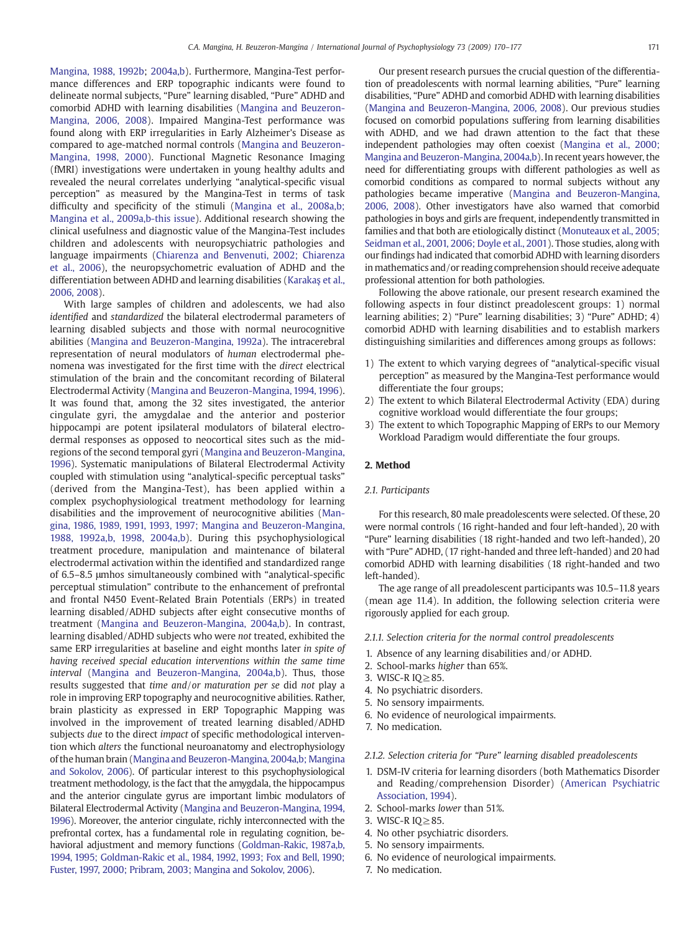[Mangina, 1988, 1992b;](#page--1-0) [2004a,b](#page--1-0)). Furthermore, Mangina-Test performance differences and ERP topographic indicants were found to delineate normal subjects, "Pure" learning disabled, "Pure" ADHD and comorbid ADHD with learning disabilities ([Mangina and Beuzeron-](#page--1-0)[Mangina, 2006, 2008](#page--1-0)). Impaired Mangina-Test performance was found along with ERP irregularities in Early Alzheimer's Disease as compared to age-matched normal controls ([Mangina and Beuzeron-](#page--1-0)[Mangina, 1998, 2000](#page--1-0)). Functional Magnetic Resonance Imaging (fMRI) investigations were undertaken in young healthy adults and revealed the neural correlates underlying "analytical-specific visual perception" as measured by the Mangina-Test in terms of task difficulty and specificity of the stimuli ([Mangina et al., 2008a,b;](#page--1-0) [Mangina et al., 2009a,b-this issue](#page--1-0)). Additional research showing the clinical usefulness and diagnostic value of the Mangina-Test includes children and adolescents with neuropsychiatric pathologies and language impairments ([Chiarenza and Benvenuti, 2002; Chiarenza](#page--1-0) [et al., 2006](#page--1-0)), the neuropsychometric evaluation of ADHD and the differentiation between ADHD and learning disabilities ([Karaka](#page--1-0)ş et al., [2006, 2008\)](#page--1-0).

With large samples of children and adolescents, we had also identified and standardized the bilateral electrodermal parameters of learning disabled subjects and those with normal neurocognitive abilities [\(Mangina and Beuzeron-Mangina, 1992a\)](#page--1-0). The intracerebral representation of neural modulators of human electrodermal phenomena was investigated for the first time with the direct electrical stimulation of the brain and the concomitant recording of Bilateral Electrodermal Activity ([Mangina and Beuzeron-Mangina, 1994, 1996](#page--1-0)). It was found that, among the 32 sites investigated, the anterior cingulate gyri, the amygdalae and the anterior and posterior hippocampi are potent ipsilateral modulators of bilateral electrodermal responses as opposed to neocortical sites such as the midregions of the second temporal gyri [\(Mangina and Beuzeron-Mangina,](#page--1-0) [1996](#page--1-0)). Systematic manipulations of Bilateral Electrodermal Activity coupled with stimulation using "analytical-specific perceptual tasks" (derived from the Mangina-Test), has been applied within a complex psychophysiological treatment methodology for learning disabilities and the improvement of neurocognitive abilities [\(Man](#page--1-0)[gina, 1986, 1989, 1991, 1993, 1997; Mangina and Beuzeron-Mangina,](#page--1-0) [1988, 1992a,b, 1998, 2004a,b\)](#page--1-0). During this psychophysiological treatment procedure, manipulation and maintenance of bilateral electrodermal activation within the identified and standardized range of 6.5–8.5 μmhos simultaneously combined with "analytical-specific perceptual stimulation" contribute to the enhancement of prefrontal and frontal N450 Event-Related Brain Potentials (ERPs) in treated learning disabled/ADHD subjects after eight consecutive months of treatment [\(Mangina and Beuzeron-Mangina, 2004a,b](#page--1-0)). In contrast, learning disabled/ADHD subjects who were not treated, exhibited the same ERP irregularities at baseline and eight months later in spite of having received special education interventions within the same time interval [\(Mangina and Beuzeron-Mangina, 2004a,b\)](#page--1-0). Thus, those results suggested that time and/or maturation per se did not play a role in improving ERP topography and neurocognitive abilities. Rather, brain plasticity as expressed in ERP Topographic Mapping was involved in the improvement of treated learning disabled/ADHD subjects due to the direct impact of specific methodological intervention which alters the functional neuroanatomy and electrophysiology of the human brain [\(Mangina and Beuzeron-Mangina, 2004a,b; Mangina](#page--1-0) [and Sokolov, 2006](#page--1-0)). Of particular interest to this psychophysiological treatment methodology, is the fact that the amygdala, the hippocampus and the anterior cingulate gyrus are important limbic modulators of Bilateral Electrodermal Activity ([Mangina and Beuzeron-Mangina, 1994,](#page--1-0) [1996\)](#page--1-0). Moreover, the anterior cingulate, richly interconnected with the prefrontal cortex, has a fundamental role in regulating cognition, behavioral adjustment and memory functions [\(Goldman-Rakic, 1987a,b,](#page--1-0) [1994, 1995; Goldman-Rakic et al., 1984, 1992, 1993; Fox and Bell, 1990;](#page--1-0) [Fuster, 1997, 2000; Pribram, 2003; Mangina and Sokolov, 2006\)](#page--1-0).

Our present research pursues the crucial question of the differentiation of preadolescents with normal learning abilities, "Pure" learning disabilities, "Pure" ADHD and comorbid ADHD with learning disabilities [\(Mangina and Beuzeron-Mangina, 2006, 2008](#page--1-0)). Our previous studies focused on comorbid populations suffering from learning disabilities with ADHD, and we had drawn attention to the fact that these independent pathologies may often coexist [\(Mangina et al., 2000;](#page--1-0) [Mangina and Beuzeron-Mangina, 2004a,b](#page--1-0)). In recent years however, the need for differentiating groups with different pathologies as well as comorbid conditions as compared to normal subjects without any pathologies became imperative ([Mangina and Beuzeron-Mangina,](#page--1-0) [2006, 2008](#page--1-0)). Other investigators have also warned that comorbid pathologies in boys and girls are frequent, independently transmitted in families and that both are etiologically distinct [\(Monuteaux et al., 2005;](#page--1-0) [Seidman et al., 2001, 2006; Doyle et al., 2001\)](#page--1-0). Those studies, along with our findings had indicated that comorbid ADHD with learning disorders in mathematics and/or reading comprehension should receive adequate professional attention for both pathologies.

Following the above rationale, our present research examined the following aspects in four distinct preadolescent groups: 1) normal learning abilities; 2) "Pure" learning disabilities; 3) "Pure" ADHD; 4) comorbid ADHD with learning disabilities and to establish markers distinguishing similarities and differences among groups as follows:

- 1) The extent to which varying degrees of "analytical-specific visual perception" as measured by the Mangina-Test performance would differentiate the four groups;
- 2) The extent to which Bilateral Electrodermal Activity (EDA) during cognitive workload would differentiate the four groups;
- 3) The extent to which Topographic Mapping of ERPs to our Memory Workload Paradigm would differentiate the four groups.

#### 2. Method

#### 2.1. Participants

For this research, 80 male preadolescents were selected. Of these, 20 were normal controls (16 right-handed and four left-handed), 20 with "Pure" learning disabilities (18 right-handed and two left-handed), 20 with "Pure" ADHD, (17 right-handed and three left-handed) and 20 had comorbid ADHD with learning disabilities (18 right-handed and two left-handed).

The age range of all preadolescent participants was 10.5–11.8 years (mean age 11.4). In addition, the following selection criteria were rigorously applied for each group.

#### 2.1.1. Selection criteria for the normal control preadolescents

- 1. Absence of any learning disabilities and/or ADHD.
- 2. School-marks higher than 65%.
- 3. WISC-R IQ≥85.
- 4. No psychiatric disorders.
- 5. No sensory impairments.
- 6. No evidence of neurological impairments.
- 7. No medication.

#### 2.1.2. Selection criteria for "Pure" learning disabled preadolescents

- 1. DSM-IV criteria for learning disorders (both Mathematics Disorder and Reading/comprehension Disorder) ([American Psychiatric](#page--1-0) [Association, 1994](#page--1-0)).
- 2. School-marks lower than 51%.
- 3. WISC-R IQ≥85.
- 4. No other psychiatric disorders.
- 5. No sensory impairments.
- 6. No evidence of neurological impairments.
- 7. No medication.